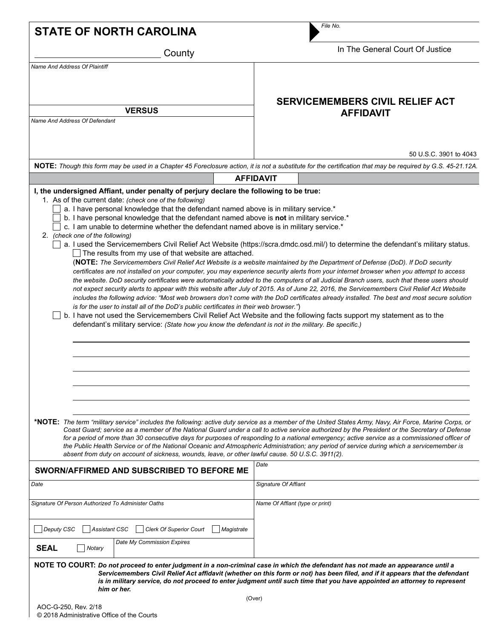| <b>STATE OF NORTH CAROLINA</b>                                                                                                                                                                                                                                                                                                                                                                                                                                                     | File No.                                                                                                                                                                                                                                                                                                                                                                                                                                                                                                                                                                                                                                                                                                                                                                                                                                                                                                                                                                              |
|------------------------------------------------------------------------------------------------------------------------------------------------------------------------------------------------------------------------------------------------------------------------------------------------------------------------------------------------------------------------------------------------------------------------------------------------------------------------------------|---------------------------------------------------------------------------------------------------------------------------------------------------------------------------------------------------------------------------------------------------------------------------------------------------------------------------------------------------------------------------------------------------------------------------------------------------------------------------------------------------------------------------------------------------------------------------------------------------------------------------------------------------------------------------------------------------------------------------------------------------------------------------------------------------------------------------------------------------------------------------------------------------------------------------------------------------------------------------------------|
| County                                                                                                                                                                                                                                                                                                                                                                                                                                                                             | In The General Court Of Justice                                                                                                                                                                                                                                                                                                                                                                                                                                                                                                                                                                                                                                                                                                                                                                                                                                                                                                                                                       |
| <b>Name And Address Of Plaintiff</b>                                                                                                                                                                                                                                                                                                                                                                                                                                               |                                                                                                                                                                                                                                                                                                                                                                                                                                                                                                                                                                                                                                                                                                                                                                                                                                                                                                                                                                                       |
| <b>VERSUS</b>                                                                                                                                                                                                                                                                                                                                                                                                                                                                      | <b>SERVICEMEMBERS CIVIL RELIEF ACT</b><br><b>AFFIDAVIT</b>                                                                                                                                                                                                                                                                                                                                                                                                                                                                                                                                                                                                                                                                                                                                                                                                                                                                                                                            |
| <b>Name And Address Of Defendant</b>                                                                                                                                                                                                                                                                                                                                                                                                                                               |                                                                                                                                                                                                                                                                                                                                                                                                                                                                                                                                                                                                                                                                                                                                                                                                                                                                                                                                                                                       |
|                                                                                                                                                                                                                                                                                                                                                                                                                                                                                    | 50 U.S.C. 3901 to 4043                                                                                                                                                                                                                                                                                                                                                                                                                                                                                                                                                                                                                                                                                                                                                                                                                                                                                                                                                                |
|                                                                                                                                                                                                                                                                                                                                                                                                                                                                                    | NOTE: Though this form may be used in a Chapter 45 Foreclosure action, it is not a substitute for the certification that may be required by G.S. 45-21.12A.                                                                                                                                                                                                                                                                                                                                                                                                                                                                                                                                                                                                                                                                                                                                                                                                                           |
| I, the undersigned Affiant, under penalty of perjury declare the following to be true:                                                                                                                                                                                                                                                                                                                                                                                             | <b>AFFIDAVIT</b>                                                                                                                                                                                                                                                                                                                                                                                                                                                                                                                                                                                                                                                                                                                                                                                                                                                                                                                                                                      |
| b. I have personal knowledge that the defendant named above is not in military service.*<br>c. I am unable to determine whether the defendant named above is in military service.*<br>2. (check one of the following)<br>The results from my use of that website are attached.<br>is for the user to install all of the DoD's public certificates in their web browser.")<br>defendant's military service: (State how you know the defendant is not in the military. Be specific.) | a. I used the Servicemembers Civil Relief Act Website (https://scra.dmdc.osd.mil/) to determine the defendant's military status.<br>(NOTE: The Servicemembers Civil Relief Act Website is a website maintained by the Department of Defense (DoD). If DoD security<br>certificates are not installed on your computer, you may experience security alerts from your internet browser when you attempt to access<br>the website. DoD security certificates were automatically added to the computers of all Judicial Branch users, such that these users should<br>not expect security alerts to appear with this website after July of 2015. As of June 22, 2016, the Servicemembers Civil Relief Act Website<br>includes the following advice: "Most web browsers don't come with the DoD certificates already installed. The best and most secure solution<br>b. I have not used the Servicemembers Civil Relief Act Website and the following facts support my statement as to the |
| *NOTE: The term "military service" includes the following: active duty service as a member of the United States Army, Navy, Air Force, Marine Corps, or<br>absent from duty on account of sickness, wounds, leave, or other lawful cause, 50 U.S.C. 3911(2).                                                                                                                                                                                                                       | Coast Guard; service as a member of the National Guard under a call to active service authorized by the President or the Secretary of Defense<br>for a period of more than 30 consecutive days for purposes of responding to a national emergency; active service as a commissioned officer of<br>the Public Health Service or of the National Oceanic and Atmospheric Administration; any period of service during which a servicemember is                                                                                                                                                                                                                                                                                                                                                                                                                                                                                                                                          |
| SWORN/AFFIRMED AND SUBSCRIBED TO BEFORE ME                                                                                                                                                                                                                                                                                                                                                                                                                                         | Date                                                                                                                                                                                                                                                                                                                                                                                                                                                                                                                                                                                                                                                                                                                                                                                                                                                                                                                                                                                  |
| Date                                                                                                                                                                                                                                                                                                                                                                                                                                                                               | Signature Of Affiant                                                                                                                                                                                                                                                                                                                                                                                                                                                                                                                                                                                                                                                                                                                                                                                                                                                                                                                                                                  |
| Signature Of Person Authorized To Administer Oaths                                                                                                                                                                                                                                                                                                                                                                                                                                 | Name Of Affiant (type or print)                                                                                                                                                                                                                                                                                                                                                                                                                                                                                                                                                                                                                                                                                                                                                                                                                                                                                                                                                       |
| <b>Clerk Of Superior Court</b><br><b>Deputy CSC</b><br><b>Assistant CSC</b><br>Magistrate<br>Date My Commission Expires                                                                                                                                                                                                                                                                                                                                                            |                                                                                                                                                                                                                                                                                                                                                                                                                                                                                                                                                                                                                                                                                                                                                                                                                                                                                                                                                                                       |
| <b>SEAL</b><br>Notary<br>NOTE TO COURT: Do not proceed to enter judgment in a non-criminal case in which the defendant has not made an appearance until a<br>him or her.<br>AOC-G-250, Rev. 2/18                                                                                                                                                                                                                                                                                   | Servicemembers Civil Relief Act affidavit (whether on this form or not) has been filed, and if it appears that the defendant<br>is in military service, do not proceed to enter judgment until such time that you have appointed an attorney to represent<br>(Over)                                                                                                                                                                                                                                                                                                                                                                                                                                                                                                                                                                                                                                                                                                                   |